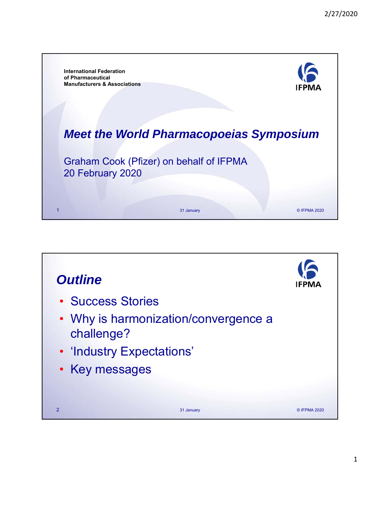

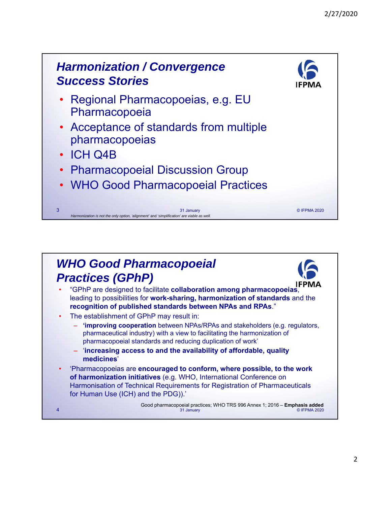

## *WHO Good Pharmacopoeial Practices (GPhP)*



- "GPhP are designed to facilitate **collaboration among pharmacopoeias**, leading to possibilities for **work-sharing, harmonization of standards** and the **recognition of published standards between NPAs and RPAs**."
- The establishment of GPhP may result in:
	- **'improving cooperation** between NPAs/RPAs and stakeholders (e.g. regulators, pharmaceutical industry) with a view to facilitating the harmonization of pharmacopoeial standards and reducing duplication of work'
	- '**increasing access to and the availability of affordable, quality medicines**'
- 'Pharmacopoeias are **encouraged to conform, where possible, to the work of harmonization initiatives** (e.g. WHO, International Conference on Harmonisation of Technical Requirements for Registration of Pharmaceuticals for Human Use (ICH) and the PDG)).'
- 4 31 January © IFPMA 2020 Good pharmacopoeial practices; WHO TRS 996 Annex 1; 2016 – **Emphasis added**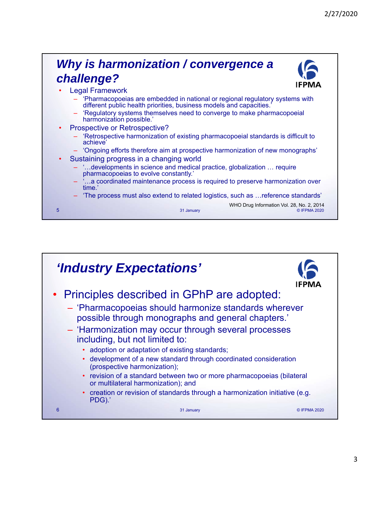## *Why is harmonization / convergence a challenge?*



- **Legal Framework** 
	- 'Pharmacopoeias are embedded in national or regional regulatory systems with different public health priorities, business models and capacities.'
	- 'Regulatory systems themselves need to converge to make pharmacopoeial harmonization possible.'
- Prospective or Retrospective?
	- 'Retrospective harmonization of existing pharmacopoeial standards is difficult to achieve'
	- 'Ongoing efforts therefore aim at prospective harmonization of new monographs'
- Sustaining progress in a changing world
	- '…developments in science and medical practice, globalization … require pharmacopoeias to evolve constantly.'
	- ...a coordinated maintenance process is required to preserve harmonization over time.'
	- 'The process must also extend to related logistics, such as …reference standards'

5 31 January © IFPMA 2020 WHO Drug Information Vol. 28, No. 2, 2014



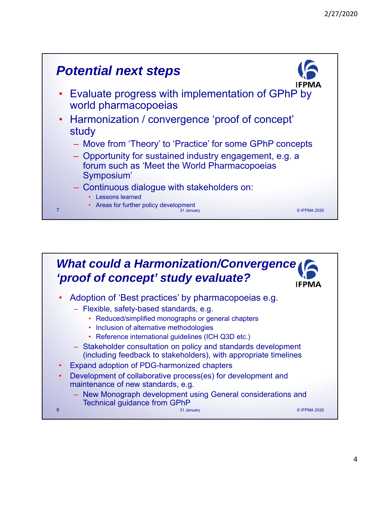

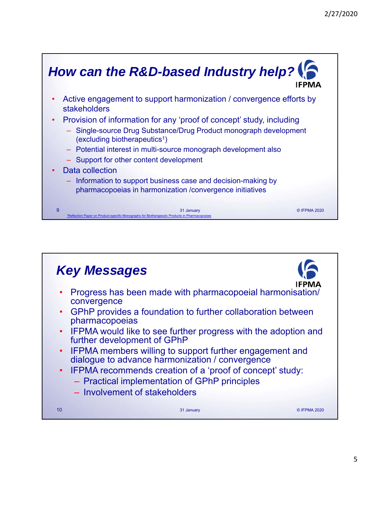